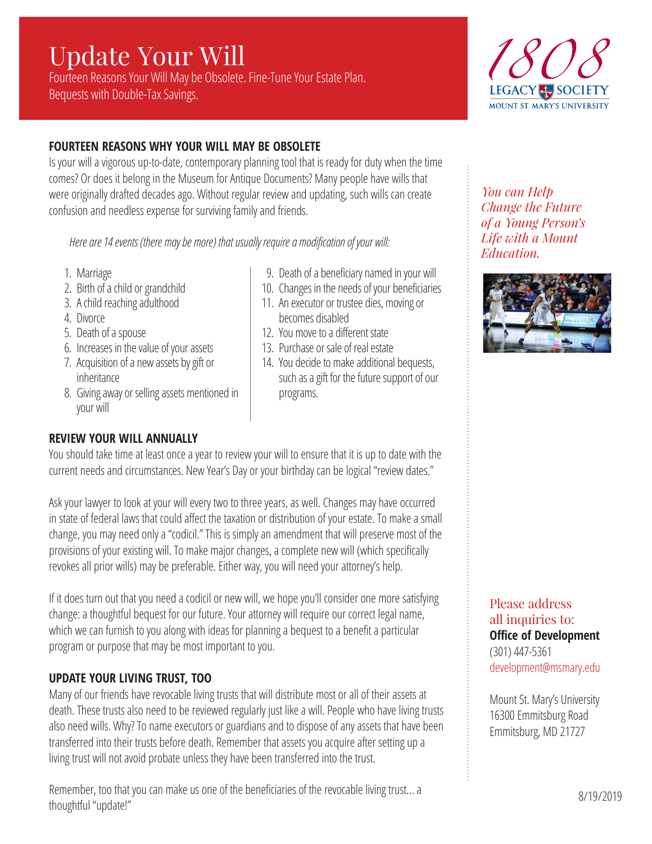# Update Your Will

Fourteen Reasons Your Will May be Obsolete. Fine-Tune Your Estate Plan. Bequests with Double-Tax Savings.



# **FOURTEEN REASONS WHY YOUR WILL MAY BE OBSOLETE**

Is your will a vigorous up-to-date, contemporary planning tool that is ready for duty when the time comes? Or does it belong in the Museum for Antique Documents? Many people have wills that were originally drafted decades ago. Without regular review and updating, such wills can create confusion and needless expense for surviving family and friends.

 *Here are 14 events (there may be more) that usually require a modification of your will:*

- 1. Marriage
- 2. Birth of a child or grandchild
- 3. A child reaching adulthood
- 4. Divorce
- 5. Death of a spouse
- 6. Increases in the value of your assets
- 7. Acquisition of a new assets by gift or inheritance
- 8. Giving away or selling assets mentioned in your will

#### **REVIEW YOUR WILL ANNUALLY**

11. An executor or trustee dies, moving or becomes disabled

9. Death of a beneficiary named in your will 10. Changes in the needs of your beneficiaries

- 12. You move to a different state
- 13. Purchase or sale of real estate
- 14. You decide to make additional bequests, such as a gift for the future support of our programs.

You should take time at least once a year to review your will to ensure that it is up to date with the current needs and circumstances. New Year's Day or your birthday can be logical "review dates."

Ask your lawyer to look at your will every two to three years, as well. Changes may have occurred in state of federal laws that could affect the taxation or distribution of your estate. To make a small change, you may need only a "codicil." This is simply an amendment that will preserve most of the provisions of your existing will. To make major changes, a complete new will (which specifically revokes all prior wills) may be preferable. Either way, you will need your attorney's help.

If it does turn out that you need a codicil or new will, we hope you'll consider one more satisfying change: a thoughtful bequest for our future. Your attorney will require our correct legal name, which we can furnish to you along with ideas for planning a bequest to a benefit a particular program or purpose that may be most important to you.

# **UPDATE YOUR LIVING TRUST, TOO**

Many of our friends have revocable living trusts that will distribute most or all of their assets at death. These trusts also need to be reviewed regularly just like a will. People who have living trusts also need wills. Why? To name executors or guardians and to dispose of any assets that have been transferred into their trusts before death. Remember that assets you acquire after setting up a living trust will not avoid probate unless they have been transferred into the trust.

Remember, too that you can make us one of the beneficiaries of the revocable living trust… a thoughtful "update!"

*You can Help Change the Future of a Young Person's Life with a Mount Education.* 



Please address all inquiries to: **Office of Development** (301) 447-5361 development@msmary.edu

Mount St. Mary's University 16300 Emmitsburg Road Emmitsburg, MD 21727